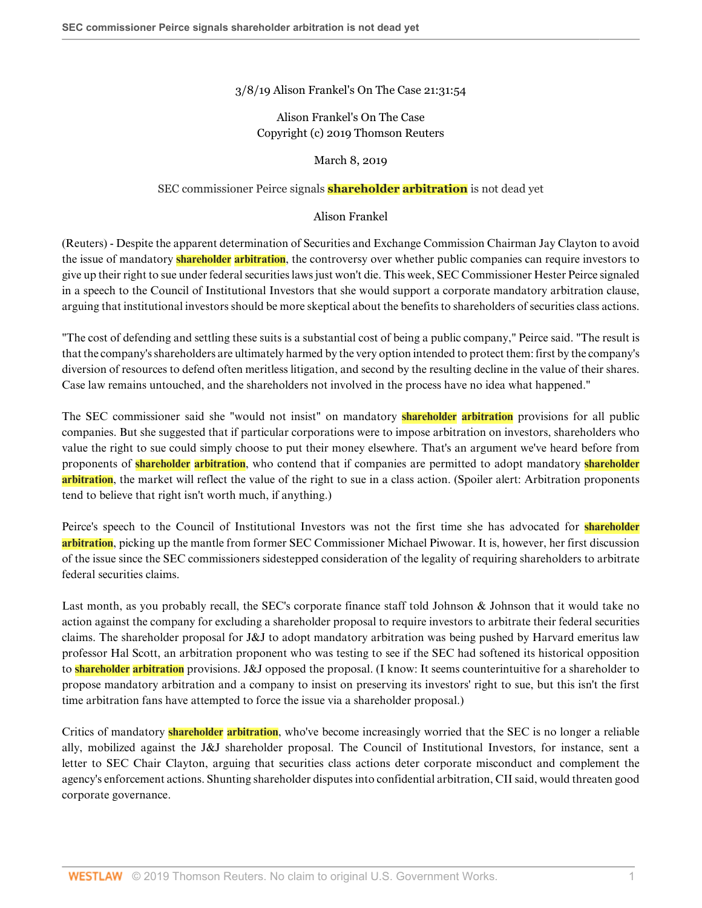### 3/8/19 Alison Frankel's On The Case 21:31:54

# Alison Frankel's On The Case Copyright (c) 2019 Thomson Reuters

### March 8, 2019

## SEC commissioner Peirce signals **shareholder arbitration** is not dead yet

# Alison Frankel

(Reuters) - Despite the apparent determination of Securities and Exchange Commission Chairman Jay Clayton to avoid the issue of mandatory **shareholder arbitration**, the controversy over whether public companies can require investors to give up their right to sue under federal securities laws just won't die. This week, SEC Commissioner Hester Peirce signaled in a speech to the Council of Institutional Investors that she would support a corporate mandatory arbitration clause, arguing that institutional investors should be more skeptical about the benefits to shareholders of securities class actions.

"The cost of defending and settling these suits is a substantial cost of being a public company," Peirce said. "The result is that the company's shareholders are ultimately harmed by the very option intended to protect them: first by the company's diversion of resources to defend often meritless litigation, and second by the resulting decline in the value of their shares. Case law remains untouched, and the shareholders not involved in the process have no idea what happened."

The SEC commissioner said she "would not insist" on mandatory **shareholder arbitration** provisions for all public companies. But she suggested that if particular corporations were to impose arbitration on investors, shareholders who value the right to sue could simply choose to put their money elsewhere. That's an argument we've heard before from proponents of **shareholder arbitration**, who contend that if companies are permitted to adopt mandatory **shareholder arbitration**, the market will reflect the value of the right to sue in a class action. (Spoiler alert: Arbitration proponents tend to believe that right isn't worth much, if anything.)

Peirce's speech to the Council of Institutional Investors was not the first time she has advocated for **shareholder arbitration**, picking up the mantle from former SEC Commissioner Michael Piwowar. It is, however, her first discussion of the issue since the SEC commissioners sidestepped consideration of the legality of requiring shareholders to arbitrate federal securities claims.

Last month, as you probably recall, the SEC's corporate finance staff told Johnson & Johnson that it would take no action against the company for excluding a shareholder proposal to require investors to arbitrate their federal securities claims. The shareholder proposal for J&J to adopt mandatory arbitration was being pushed by Harvard emeritus law professor Hal Scott, an arbitration proponent who was testing to see if the SEC had softened its historical opposition to **shareholder arbitration** provisions. J&J opposed the proposal. (I know: It seems counterintuitive for a shareholder to propose mandatory arbitration and a company to insist on preserving its investors' right to sue, but this isn't the first time arbitration fans have attempted to force the issue via a shareholder proposal.)

Critics of mandatory **shareholder arbitration**, who've become increasingly worried that the SEC is no longer a reliable ally, mobilized against the J&J shareholder proposal. The Council of Institutional Investors, for instance, sent a letter to SEC Chair Clayton, arguing that securities class actions deter corporate misconduct and complement the agency's enforcement actions. Shunting shareholder disputes into confidential arbitration, CII said, would threaten good corporate governance.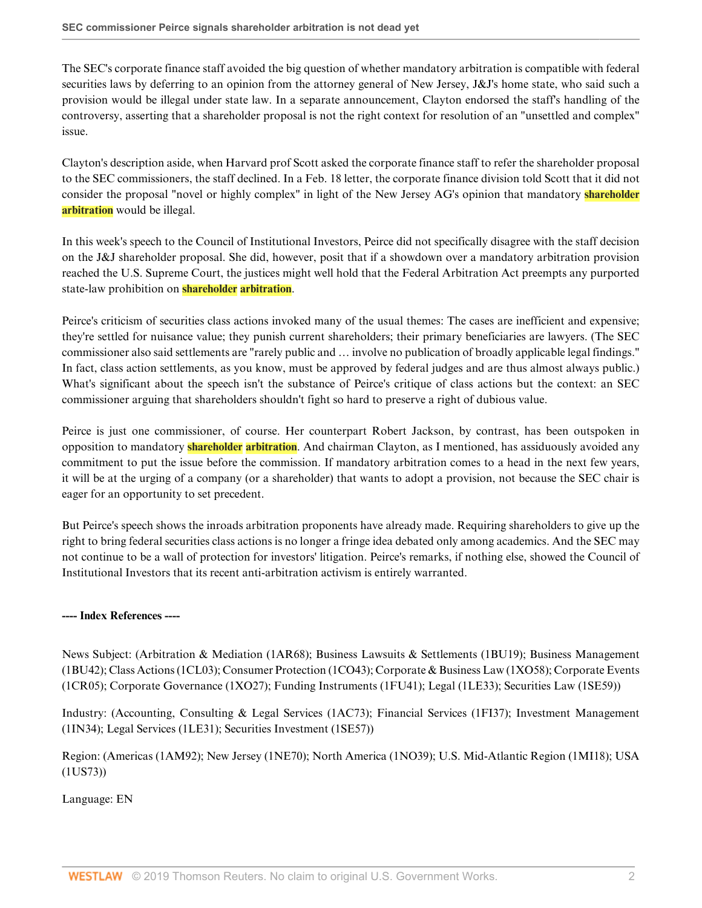The SEC's corporate finance staff avoided the big question of whether mandatory arbitration is compatible with federal securities laws by deferring to an opinion from the attorney general of New Jersey, J&J's home state, who said such a provision would be illegal under state law. In a separate announcement, Clayton endorsed the staff's handling of the controversy, asserting that a shareholder proposal is not the right context for resolution of an "unsettled and complex" issue.

Clayton's description aside, when Harvard prof Scott asked the corporate finance staff to refer the shareholder proposal to the SEC commissioners, the staff declined. In a Feb. 18 letter, the corporate finance division told Scott that it did not consider the proposal "novel or highly complex" in light of the New Jersey AG's opinion that mandatory **shareholder arbitration** would be illegal.

In this week's speech to the Council of Institutional Investors, Peirce did not specifically disagree with the staff decision on the J&J shareholder proposal. She did, however, posit that if a showdown over a mandatory arbitration provision reached the U.S. Supreme Court, the justices might well hold that the Federal Arbitration Act preempts any purported state-law prohibition on **shareholder arbitration**.

Peirce's criticism of securities class actions invoked many of the usual themes: The cases are inefficient and expensive; they're settled for nuisance value; they punish current shareholders; their primary beneficiaries are lawyers. (The SEC commissioner also said settlements are "rarely public and … involve no publication of broadly applicable legal findings." In fact, class action settlements, as you know, must be approved by federal judges and are thus almost always public.) What's significant about the speech isn't the substance of Peirce's critique of class actions but the context: an SEC commissioner arguing that shareholders shouldn't fight so hard to preserve a right of dubious value.

Peirce is just one commissioner, of course. Her counterpart Robert Jackson, by contrast, has been outspoken in opposition to mandatory **shareholder arbitration**. And chairman Clayton, as I mentioned, has assiduously avoided any commitment to put the issue before the commission. If mandatory arbitration comes to a head in the next few years, it will be at the urging of a company (or a shareholder) that wants to adopt a provision, not because the SEC chair is eager for an opportunity to set precedent.

But Peirce's speech shows the inroads arbitration proponents have already made. Requiring shareholders to give up the right to bring federal securities class actions is no longer a fringe idea debated only among academics. And the SEC may not continue to be a wall of protection for investors' litigation. Peirce's remarks, if nothing else, showed the Council of Institutional Investors that its recent anti-arbitration activism is entirely warranted.

#### **---- Index References ----**

News Subject: (Arbitration & Mediation (1AR68); Business Lawsuits & Settlements (1BU19); Business Management (1BU42); Class Actions (1CL03); Consumer Protection (1CO43); Corporate & Business Law (1XO58); Corporate Events (1CR05); Corporate Governance (1XO27); Funding Instruments (1FU41); Legal (1LE33); Securities Law (1SE59))

Industry: (Accounting, Consulting & Legal Services (1AC73); Financial Services (1FI37); Investment Management (1IN34); Legal Services (1LE31); Securities Investment (1SE57))

Region: (Americas (1AM92); New Jersey (1NE70); North America (1NO39); U.S. Mid-Atlantic Region (1MI18); USA (1US73))

Language: EN